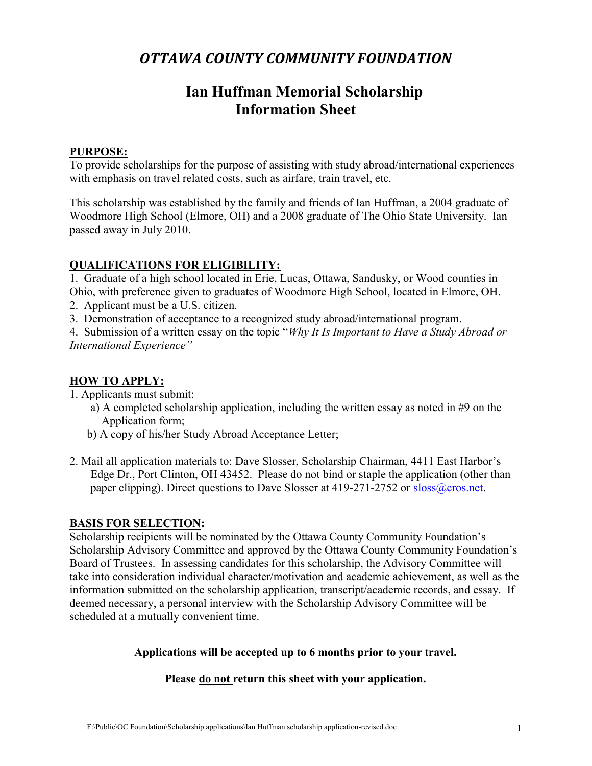## OTTAWA COUNTY COMMUNITY FOUNDATION

## Ian Huffman Memorial Scholarship Information Sheet

### PURPOSE:

To provide scholarships for the purpose of assisting with study abroad/international experiences with emphasis on travel related costs, such as airfare, train travel, etc.

This scholarship was established by the family and friends of Ian Huffman, a 2004 graduate of Woodmore High School (Elmore, OH) and a 2008 graduate of The Ohio State University. Ian passed away in July 2010.

## QUALIFICATIONS FOR ELIGIBILITY:

1. Graduate of a high school located in Erie, Lucas, Ottawa, Sandusky, or Wood counties in Ohio, with preference given to graduates of Woodmore High School, located in Elmore, OH.

- 2. Applicant must be a U.S. citizen.
- 3. Demonstration of acceptance to a recognized study abroad/international program.

4. Submission of a written essay on the topic "Why It Is Important to Have a Study Abroad or International Experience"

## HOW TO APPLY:

1. Applicants must submit:

- a) A completed scholarship application, including the written essay as noted in #9 on the Application form;
- b) A copy of his/her Study Abroad Acceptance Letter;
- 2. Mail all application materials to: Dave Slosser, Scholarship Chairman, 4411 East Harbor's Edge Dr., Port Clinton, OH 43452. Please do not bind or staple the application (other than paper clipping). Direct questions to Dave Slosser at 419-271-2752 or sloss@cros.net.

## BASIS FOR SELECTION:

Scholarship recipients will be nominated by the Ottawa County Community Foundation's Scholarship Advisory Committee and approved by the Ottawa County Community Foundation's Board of Trustees. In assessing candidates for this scholarship, the Advisory Committee will take into consideration individual character/motivation and academic achievement, as well as the information submitted on the scholarship application, transcript/academic records, and essay. If deemed necessary, a personal interview with the Scholarship Advisory Committee will be scheduled at a mutually convenient time.

#### Applications will be accepted up to 6 months prior to your travel.

## Please do not return this sheet with your application.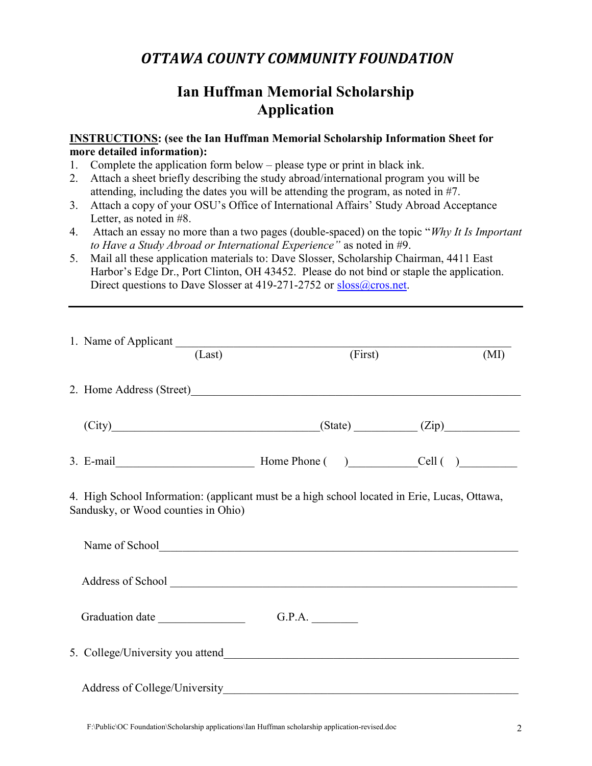## OTTAWA COUNTY COMMUNITY FOUNDATION

# Ian Huffman Memorial Scholarship Application

#### INSTRUCTIONS: (see the Ian Huffman Memorial Scholarship Information Sheet for more detailed information):

- 1. Complete the application form below please type or print in black ink.
- 2. Attach a sheet briefly describing the study abroad/international program you will be attending, including the dates you will be attending the program, as noted in #7.
- 3. Attach a copy of your OSU's Office of International Affairs' Study Abroad Acceptance Letter, as noted in #8.
- 4. Attach an essay no more than a two pages (double-spaced) on the topic "Why It Is Important" to Have a Study Abroad or International Experience" as noted in #9.
- 5. Mail all these application materials to: Dave Slosser, Scholarship Chairman, 4411 East Harbor's Edge Dr., Port Clinton, OH 43452. Please do not bind or staple the application. Direct questions to Dave Slosser at 419-271-2752 or sloss@cros.net.

| 1. Name of Applicant (Last)                                                                                                         | (First) | (MI) |
|-------------------------------------------------------------------------------------------------------------------------------------|---------|------|
| 2. Home Address (Street)                                                                                                            |         |      |
| $(City)$ $(Zip)$ $(Zip)$                                                                                                            |         |      |
|                                                                                                                                     |         |      |
| 4. High School Information: (applicant must be a high school located in Erie, Lucas, Ottawa,<br>Sandusky, or Wood counties in Ohio) |         |      |
| Name of School<br><u>Name of School</u>                                                                                             |         |      |
|                                                                                                                                     |         |      |
|                                                                                                                                     | G.P.A.  |      |
|                                                                                                                                     |         |      |
|                                                                                                                                     |         |      |